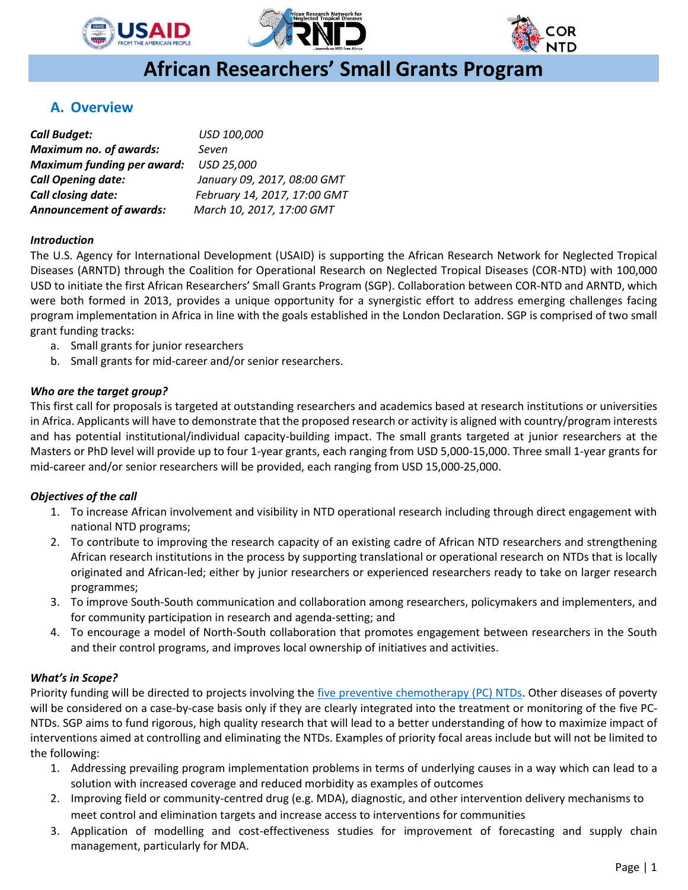





# **African Researchers' Small Grants Program**

# **A. Overview**

| <b>Call Budget:</b>               | USD 100,000                  |
|-----------------------------------|------------------------------|
| <b>Maximum no. of awards:</b>     | Seven                        |
| <b>Maximum funding per award:</b> | USD 25,000                   |
| <b>Call Opening date:</b>         | January 09, 2017, 08:00 GMT  |
| Call closing date:                | February 14, 2017, 17:00 GMT |
| <b>Announcement of awards:</b>    | March 10, 2017, 17:00 GMT    |

## *Introduction*

l

The U.S. Agency for International Development (USAID) is supporting the African Research Network for Neglected Tropical Diseases (ARNTD) through the Coalition for Operational Research on Neglected Tropical Diseases (COR-NTD) with 100,000 USD to initiate the first African Researchers' Small Grants Program (SGP). Collaboration between COR-NTD and ARNTD, which were both formed in 2013, provides a unique opportunity for a synergistic effort to address emerging challenges facing program implementation in Africa in line with the goals established in the London Declaration. SGP is comprised of two small grant funding tracks:

- a. Small grants for junior researchers
- b. Small grants for mid-career and/or senior researchers.

## *Who are the target group?*

This first call for proposals is targeted at outstanding researchers and academics based at research institutions or universities in Africa. Applicants will have to demonstrate that the proposed research or activity is aligned with country/program interests and has potential institutional/individual capacity-building impact. The small grants targeted at junior researchers at the Masters or PhD level will provide up to four 1-year grants, each ranging from USD 5,000-15,000. Three small 1-year grants for mid-career and/or senior researchers will be provided, each ranging from USD 15,000-25,000.

## *Objectives of the call*

- 1. To increase African involvement and visibility in NTD operational research including through direct engagement with national NTD programs;
- 2. To contribute to improving the research capacity of an existing cadre of African NTD researchers and strengthening African research institutions in the process by supporting translational or operational research on NTDs that is locally originated and African-led; either by junior researchers or experienced researchers ready to take on larger research programmes;
- 3. To improve South-South communication and collaboration among researchers, policymakers and implementers, and for community participation in research and agenda-setting; and
- 4. To encourage a model of North-South collaboration that promotes engagement between researchers in the South and their control programs, and improves local ownership of initiatives and activities.

## *What's in Scope?*

Priority funding will be directed to projects involving the five [preventive chemotherapy \(PC\) NTDs.](https://www.neglecteddiseases.gov/usaid-target-diseases) Other diseases of poverty will be considered on a case-by-case basis only if they are clearly integrated into the treatment or monitoring of the five PC-NTDs. SGP aims to fund rigorous, high quality research that will lead to a better understanding of how to maximize impact of interventions aimed at controlling and eliminating the NTDs. Examples of priority focal areas include but will not be limited to the following:

- 1. Addressing prevailing program implementation problems in terms of underlying causes in a way which can lead to a solution with increased coverage and reduced morbidity as examples of outcomes
- 2. Improving field or community-centred drug (e.g. MDA), diagnostic, and other intervention delivery mechanisms to meet control and elimination targets and increase access to interventions for communities
- 3. Application of modelling and cost-effectiveness studies for improvement of forecasting and supply chain management, particularly for MDA.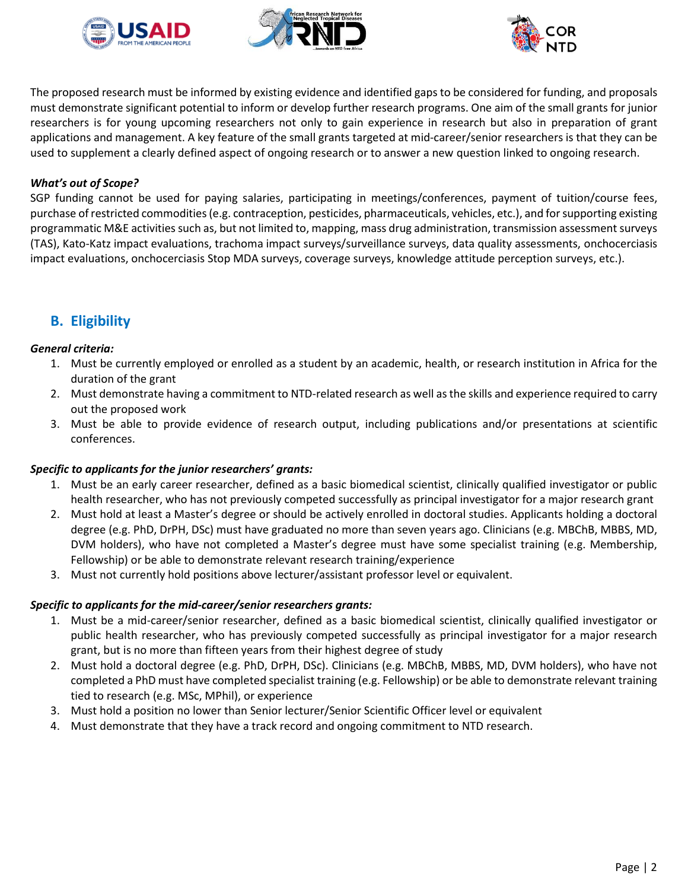





The proposed research must be informed by existing evidence and identified gaps to be considered for funding, and proposals must demonstrate significant potential to inform or develop further research programs. One aim of the small grants for junior researchers is for young upcoming researchers not only to gain experience in research but also in preparation of grant applications and management. A key feature of the small grants targeted at mid-career/senior researchers is that they can be used to supplement a clearly defined aspect of ongoing research or to answer a new question linked to ongoing research.

### *What's out of Scope?*

SGP funding cannot be used for paying salaries, participating in meetings/conferences, payment of tuition/course fees, purchase of restricted commodities (e.g. contraception, pesticides, pharmaceuticals, vehicles, etc.), and for supporting existing programmatic M&E activities such as, but not limited to, mapping, mass drug administration, transmission assessment surveys (TAS), Kato-Katz impact evaluations, trachoma impact surveys/surveillance surveys, data quality assessments, onchocerciasis impact evaluations, onchocerciasis Stop MDA surveys, coverage surveys, knowledge attitude perception surveys, etc.).

# **B. Eligibility**

#### *General criteria:*

- 1. Must be currently employed or enrolled as a student by an academic, health, or research institution in Africa for the duration of the grant
- 2. Must demonstrate having a commitment to NTD-related research as well asthe skills and experience required to carry out the proposed work
- 3. Must be able to provide evidence of research output, including publications and/or presentations at scientific conferences.

#### *Specific to applicants for the junior researchers' grants:*

- 1. Must be an early career researcher, defined as a basic biomedical scientist, clinically qualified investigator or public health researcher, who has not previously competed successfully as principal investigator for a major research grant
- 2. Must hold at least a Master's degree or should be actively enrolled in doctoral studies. Applicants holding a doctoral degree (e.g. PhD, DrPH, DSc) must have graduated no more than seven years ago. Clinicians (e.g. MBChB, MBBS, MD, DVM holders), who have not completed a Master's degree must have some specialist training (e.g. Membership, Fellowship) or be able to demonstrate relevant research training/experience
- 3. Must not currently hold positions above lecturer/assistant professor level or equivalent.

#### *Specific to applicants for the mid-career/senior researchers grants:*

- 1. Must be a mid-career/senior researcher, defined as a basic biomedical scientist, clinically qualified investigator or public health researcher, who has previously competed successfully as principal investigator for a major research grant, but is no more than fifteen years from their highest degree of study
- 2. Must hold a doctoral degree (e.g. PhD, DrPH, DSc). Clinicians (e.g. MBChB, MBBS, MD, DVM holders), who have not completed a PhD must have completed specialist training (e.g. Fellowship) or be able to demonstrate relevant training tied to research (e.g. MSc, MPhil), or experience
- 3. Must hold a position no lower than Senior lecturer/Senior Scientific Officer level or equivalent
- 4. Must demonstrate that they have a track record and ongoing commitment to NTD research.